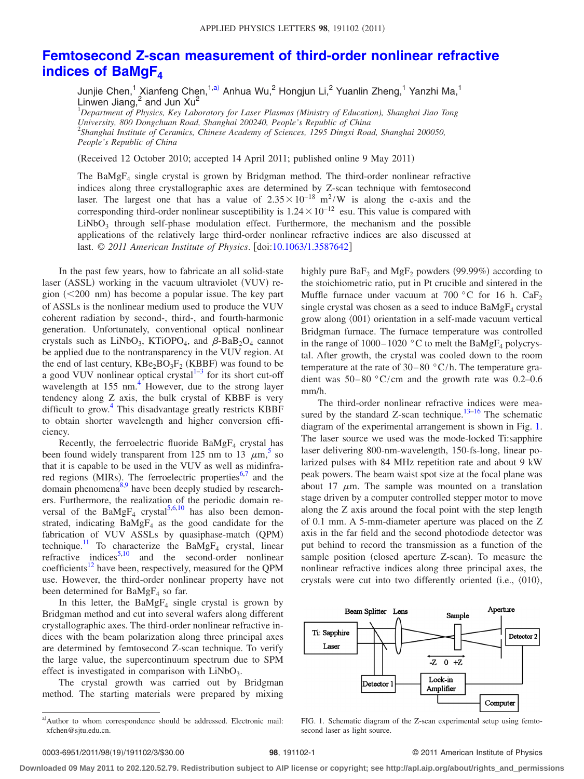## **[Femtosecond Z-scan measurement of third-order nonlinear refractive](http://dx.doi.org/10.1063/1.3587642) [indices of BaMgF4](http://dx.doi.org/10.1063/1.3587642)**

Junjie Chen,<sup>1</sup> Xianfeng Chen,<sup>1[,a](#page-0-0))</sup> Anhua Wu,<sup>2</sup> Hongjun Li,<sup>2</sup> Yuanlin Zheng,<sup>1</sup> Yanzhi Ma,<sup>1</sup> Linwen Jiang, $^2$  and Jun Xu $^2$ 

1 *Department of Physics, Key Laboratory for Laser Plasmas (Ministry of Education), Shanghai Jiao Tong University, 800 Dongchuan Road, Shanghai 200240, People's Republic of China* 2 *Shanghai Institute of Ceramics, Chinese Academy of Sciences, 1295 Dingxi Road, Shanghai 200050, People's Republic of China*

(Received 12 October 2010; accepted 14 April 2011; published online 9 May 2011)

The BaMgF4 single crystal is grown by Bridgman method. The third-order nonlinear refractive indices along three crystallographic axes are determined by Z-scan technique with femtosecond laser. The largest one that has a value of  $2.35 \times 10^{-18}$  m<sup>2</sup>/W is along the c-axis and the corresponding third-order nonlinear susceptibility is  $1.24 \times 10^{-12}$  esu. This value is compared with LiNbO<sub>3</sub> through self-phase modulation effect. Furthermore, the mechanism and the possible applications of the relatively large third-order nonlinear refractive indices are also discussed at last. © *2011 American Institute of Physics*. doi[:10.1063/1.3587642](http://dx.doi.org/10.1063/1.3587642)

In the past few years, how to fabricate an all solid-state laser (ASSL) working in the vacuum ultraviolet (VUV) region (<200 nm) has become a popular issue. The key part of ASSLs is the nonlinear medium used to produce the VUV coherent radiation by second-, third-, and fourth-harmonic generation. Unfortunately, conventional optical nonlinear crystals such as LiNbO<sub>3</sub>, KTiOPO<sub>4</sub>, and  $\beta$ -BaB<sub>2</sub>O<sub>4</sub> cannot be applied due to the nontransparency in the VUV region. At the end of last century,  $KBe_2BO_3F_2$  (KBBF) was found to be a good VUV nonlinear optical crystal $1-3$  $1-3$  for its short cut-off wavelength at  $155 \text{ nm}^4$ . However, due to the strong layer tendency along Z axis, the bulk crystal of KBBF is very difficult to grow.<sup>4</sup> This disadvantage greatly restricts KBBF to obtain shorter wavelength and higher conversion efficiency.

Recently, the ferroelectric fluoride  $BaMgF<sub>4</sub>$  crystal has been found widely transparent from 12[5](#page-2-3) nm to 13  $\mu$ m,<sup>5</sup> so that it is capable to be used in the VUV as well as midinfra-red regions (MIRs). The ferroelectric properties<sup>6[,7](#page-2-5)</sup> and the domain phenomena<sup>8[,9](#page-2-7)</sup> have been deeply studied by researchers. Furthermore, the realization of the periodic domain reversal of the  $BaMgF_4$  crystal<sup>5,[6,](#page-2-4)[10](#page-2-8)</sup> has also been demonstrated, indicating  $BaMgF_4$  as the good candidate for the fabrication of VUV ASSLs by quasiphase-match (QPM) technique.<sup>11</sup> To characterize the BaMgF<sub>4</sub> crystal, linear refractive indices $5,10$  $5,10$  and the second-order nonlinear coefficients<sup>12</sup> have been, respectively, measured for the QPM use. However, the third-order nonlinear property have not been determined for  $BaMgF<sub>4</sub>$  so far.

In this letter, the  $BaMgF_4$  single crystal is grown by Bridgman method and cut into several wafers along different crystallographic axes. The third-order nonlinear refractive indices with the beam polarization along three principal axes are determined by femtosecond Z-scan technique. To verify the large value, the supercontinuum spectrum due to SPM effect is investigated in comparison with  $LiNbO<sub>3</sub>$ .

<span id="page-0-0"></span>The crystal growth was carried out by Bridgman method. The starting materials were prepared by mixing

highly pure  $BaF_2$  and  $MgF_2$  powders (99.99%) according to the stoichiometric ratio, put in Pt crucible and sintered in the Muffle furnace under vacuum at  $700\degree$ C for 16 h. CaF<sub>2</sub> single crystal was chosen as a seed to induce  $BaMgF_4$  crystal grow along  $\langle 001 \rangle$  orientation in a self-made vacuum vertical Bridgman furnace. The furnace temperature was controlled in the range of  $1000-1020$  °C to melt the BaMgF<sub>4</sub> polycrystal. After growth, the crystal was cooled down to the room temperature at the rate of  $30-80$  °C/h. The temperature gradient was  $50-80$  °C/cm and the growth rate was 0.2–0.6 mm/h.

The third-order nonlinear refractive indices were measured by the standard  $Z$ -scan technique.<sup>13[–16](#page-2-12)</sup> The schematic diagram of the experimental arrangement is shown in Fig. [1.](#page-0-1) The laser source we used was the mode-locked Ti:sapphire laser delivering 800-nm-wavelength, 150-fs-long, linear polarized pulses with 84 MHz repetition rate and about 9 kW peak powers. The beam waist spot size at the focal plane was about 17  $\mu$ m. The sample was mounted on a translation stage driven by a computer controlled stepper motor to move along the Z axis around the focal point with the step length of 0.1 mm. A 5-mm-diameter aperture was placed on the Z axis in the far field and the second photodiode detector was put behind to record the transmission as a function of the sample position (closed aperture Z-scan). To measure the nonlinear refractive indices along three principal axes, the crystals were cut into two differently oriented (i.e.,  $\langle 010 \rangle$ ,

<span id="page-0-1"></span>

FIG. 1. Schematic diagram of the Z-scan experimental setup using femtosecond laser as light source.

## 98, 191102-1 **30.000 CENTER 198**, 191102-1

**Downloaded 09 May 2011 to 202.120.52.79. Redistribution subject to AIP license or copyright; see http://apl.aip.org/about/rights\_and\_permissions**

a)Author to whom correspondence should be addressed. Electronic mail: xfchen@sjtu.edu.cn.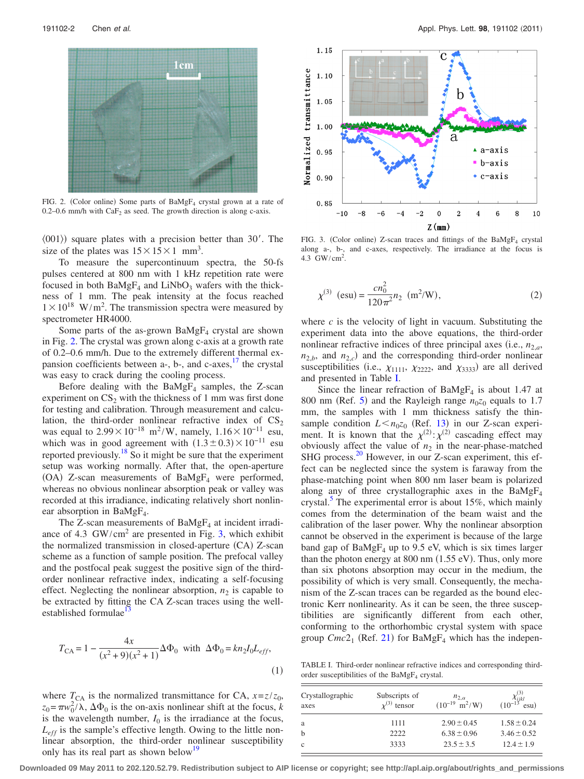<span id="page-1-0"></span>

FIG. 2. (Color online) Some parts of  $BaMgF_4$  crystal grown at a rate of 0.2–0.6 mm/h with  $CaF<sub>2</sub>$  as seed. The growth direction is along c-axis.

 $\langle 001 \rangle$  square plates with a precision better than 30'. The size of the plates was  $15 \times 15 \times 1$  mm<sup>3</sup>.

To measure the supercontinuum spectra, the 50-fs pulses centered at 800 nm with 1 kHz repetition rate were focused in both  $BaMgF_4$  and  $LiNbO_3$  wafers with the thickness of 1 mm. The peak intensity at the focus reached  $1 \times 10^{18}$  W/m<sup>2</sup>. The transmission spectra were measured by spectrometer HR4000.

Some parts of the as-grown  $BaMgF<sub>4</sub>$  crystal are shown in Fig. [2.](#page-1-0) The crystal was grown along c-axis at a growth rate of 0.2–0.6 mm/h. Due to the extremely different thermal expansion coefficients between  $a$ -,  $b$ -, and  $c$ -axes,  $17$  the crystal was easy to crack during the cooling process.

Before dealing with the  $BaMgF<sub>4</sub>$  samples, the Z-scan experiment on  $CS_2$  with the thickness of 1 mm was first done for testing and calibration. Through measurement and calculation, the third-order nonlinear refractive index of  $CS_2$ was equal to  $2.99 \times 10^{-18}$  m<sup>2</sup>/W, namely,  $1.16 \times 10^{-11}$  esu, which was in good agreement with  $(1.3 \pm 0.3) \times 10^{-11}$  esu reported previously[.18](#page-2-14) So it might be sure that the experiment setup was working normally. After that, the open-aperture (OA) Z-scan measurements of BaMgF<sub>4</sub> were performed, whereas no obvious nonlinear absorption peak or valley was recorded at this irradiance, indicating relatively short nonlinear absorption in  $BaMgF<sub>4</sub>$ .

The Z-scan measurements of  $BaMgF<sub>4</sub>$  at incident irradiance of 4.3  $GW/cm<sup>2</sup>$  are presented in Fig. [3,](#page-1-1) which exhibit the normalized transmission in closed-aperture (CA) Z-scan scheme as a function of sample position. The prefocal valley and the postfocal peak suggest the positive sign of the thirdorder nonlinear refractive index, indicating a self-focusing effect. Neglecting the nonlinear absorption,  $n_2$  is capable to be extracted by fitting the CA Z-scan traces using the wellestablished formulae

$$
T_{\rm CA} = 1 - \frac{4x}{(x^2 + 9)(x^2 + 1)} \Delta \Phi_0 \text{ with } \Delta \Phi_0 = kn_2 I_0 L_{eff},
$$
\n(1)

where  $T_{CA}$  is the normalized transmittance for CA,  $x = z/z_0$ ,  $z_0 = \pi w_0^2 / \lambda$ ,  $\Delta \Phi_0$  is the on-axis nonlinear shift at the focus, *k* is the wavelength number,  $I_0$  is the irradiance at the focus, *Leff* is the sample's effective length. Owing to the little nonlinear absorption, the third-order nonlinear susceptibility only has its real part as shown below<sup>19</sup>

<span id="page-1-1"></span>

FIG. 3. (Color online) Z-scan traces and fittings of the  $BaMgF<sub>4</sub>$  crystal along a-, b-, and c-axes, respectively. The irradiance at the focus is 4.3  $\text{GW/cm}^2$ .

$$
\chi^{(3)}\text{ (esu)} = \frac{cn_0^2}{120\pi^2}n_2\text{ (m}^2/\text{W)},\tag{2}
$$

where  $c$  is the velocity of light in vacuum. Substituting the experiment data into the above equations, the third-order nonlinear refractive indices of three principal axes (i.e.,  $n_{2,a}$ ,  $n_{2,b}$ , and  $n_{2,c}$  and the corresponding third-order nonlinear susceptibilities (i.e.,  $\chi_{1111}$ ,  $\chi_{2222}$ , and  $\chi_{3333}$ ) are all derived and presented in Table [I.](#page-1-2)

Since the linear refraction of  $BaMgF<sub>4</sub>$  is about 1.47 at 800 nm (Ref. [5](#page-2-3)) and the Rayleigh range  $n_{0}z_{0}$  equals to 1.7 mm, the samples with 1 mm thickness satisfy the thinsample condition  $L < n_0 z_0$  (Ref. [13](#page-2-11)) in our Z-scan experiment. It is known that the  $\chi^{(2)}$ :  $\chi^{(2)}$  cascading effect may obviously affect the value of  $n_2$  in the near-phase-matched SHG process.<sup>20</sup> However, in our Z-scan experiment, this effect can be neglected since the system is faraway from the phase-matching point when 800 nm laser beam is polarized along any of three crystallographic axes in the  $BaMgF<sub>4</sub>$ crystal.<sup>5</sup> The experimental error is about 15%, which mainly comes from the determination of the beam waist and the calibration of the laser power. Why the nonlinear absorption cannot be observed in the experiment is because of the large band gap of  $BaMgF_4$  up to 9.5 eV, which is six times larger than the photon energy at  $800$  nm  $(1.55 \text{ eV})$ . Thus, only more than six photons absorption may occur in the medium, the possibility of which is very small. Consequently, the mechanism of the Z-scan traces can be regarded as the bound electronic Kerr nonlinearity. As it can be seen, the three susceptibilities are significantly different from each other, conforming to the orthorhombic crystal system with space group  $Cmc2_1$  (Ref. [21](#page-2-17)) for BaMgF<sub>4</sub> which has the indepen-

<span id="page-1-2"></span>TABLE I. Third-order nonlinear refractive indices and corresponding thirdorder susceptibilities of the  $BaMgF<sub>4</sub>$  crystal.

| Crystallographic<br>axes | Subscripts of<br>$x^{(3)}$ tensor | $n_{2,\alpha}$<br>$(10^{-19} \text{ m}^2/\text{W})$ | $\chi_{ijkl}^{(3)}$ (10 <sup>-13</sup><br>$\cos u$ ) |
|--------------------------|-----------------------------------|-----------------------------------------------------|------------------------------------------------------|
| a                        | 1111                              | $2.90 \pm 0.45$                                     | $1.58 \pm 0.24$                                      |
| h                        | 2222                              | $6.38 \pm 0.96$                                     | $3.46 \pm 0.52$                                      |
| c                        | 3333                              | $23.5 \pm 3.5$                                      | $12.4 \pm 1.9$                                       |

**Downloaded 09 May 2011 to 202.120.52.79. Redistribution subject to AIP license or copyright; see http://apl.aip.org/about/rights\_and\_permissions**